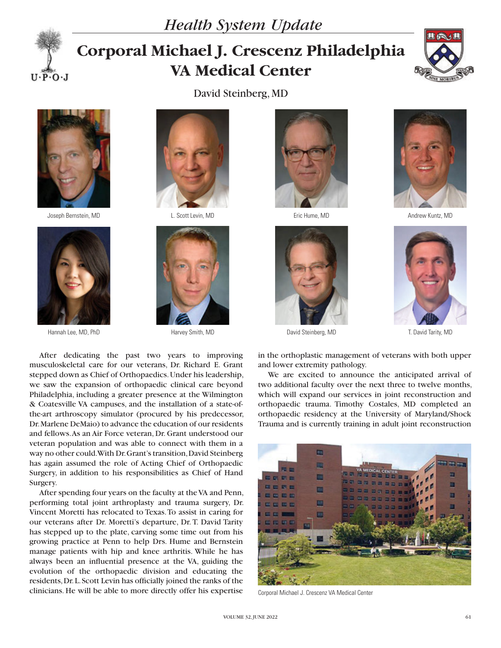



## **Corporal Michael J. Crescenz Philadelphia VA Medical Center**

David Steinberg, MD





Joseph Bernstein, MD L. Scott Levin, MD Eric Hume, MD Andrew Kuntz, MD



Hannah Lee, MD, PhD **Harvey Smith, MD Harvey Smith, MD** David Steinberg, MD T. David Tarity, MD













in the orthoplastic management of veterans with both upper and lower extremity pathology. We are excited to announce the anticipated arrival of

two additional faculty over the next three to twelve months, which will expand our services in joint reconstruction and orthopaedic trauma. Timothy Costales, MD completed an orthopaedic residency at the University of Maryland/Shock Trauma and is currently training in adult joint reconstruction



Corporal Michael J. Crescenz VA Medical Center

After dedicating the past two years to improving musculoskeletal care for our veterans, Dr. Richard E. Grant stepped down as Chief of Orthopaedics. Under his leadership, we saw the expansion of orthopaedic clinical care beyond Philadelphia, including a greater presence at the Wilmington & Coatesville VA campuses, and the installation of a state-ofthe-art arthroscopy simulator (procured by his predecessor, Dr. Marlene DeMaio) to advance the education of our residents and fellows. As an Air Force veteran, Dr. Grant understood our veteran population and was able to connect with them in a way no other could. With Dr. Grant's transition, David Steinberg has again assumed the role of Acting Chief of Orthopaedic Surgery, in addition to his responsibilities as Chief of Hand Surgery.

After spending four years on the faculty at the VA and Penn, performing total joint arthroplasty and trauma surgery, Dr. Vincent Moretti has relocated to Texas. To assist in caring for our veterans after Dr. Moretti's departure, Dr. T. David Tarity has stepped up to the plate, carving some time out from his growing practice at Penn to help Drs. Hume and Bernstein manage patients with hip and knee arthritis. While he has always been an influential presence at the VA, guiding the evolution of the orthopaedic division and educating the residents, Dr. L. Scott Levin has officially joined the ranks of the clinicians. He will be able to more directly offer his expertise